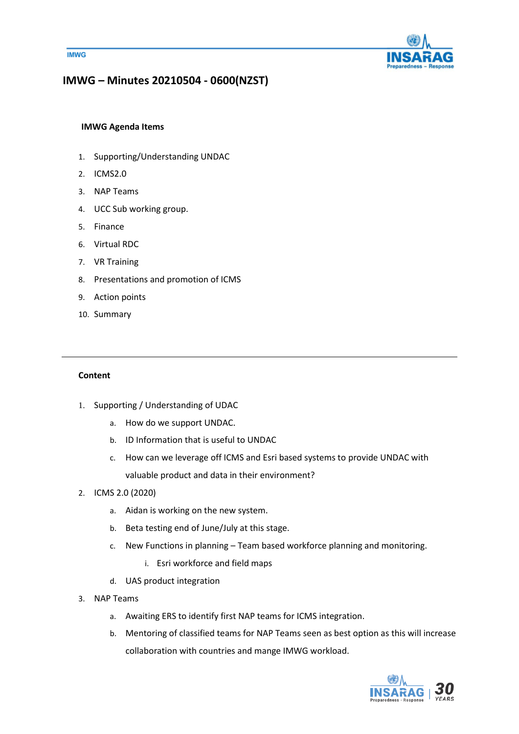



# **IMWG – Minutes 20210504 - 0600(NZST)**

# **IMWG Agenda Items**

- 1. Supporting/Understanding UNDAC
- 2. ICMS2.0
- 3. NAP Teams
- 4. UCC Sub working group.
- 5. Finance
- 6. Virtual RDC
- 7. VR Training
- 8. Presentations and promotion of ICMS
- 9. Action points
- 10. Summary

### **Content**

- 1. Supporting / Understanding of UDAC
	- a. How do we support UNDAC.
	- b. ID Information that is useful to UNDAC
	- c. How can we leverage off ICMS and Esri based systems to provide UNDAC with valuable product and data in their environment?
- 2. ICMS 2.0 (2020)
	- a. Aidan is working on the new system.
	- b. Beta testing end of June/July at this stage.
	- c. New Functions in planning Team based workforce planning and monitoring.
		- i. Esri workforce and field maps
	- d. UAS product integration
- 3. NAP Teams
	- a. Awaiting ERS to identify first NAP teams for ICMS integration.
	- b. Mentoring of classified teams for NAP Teams seen as best option as this will increase collaboration with countries and mange IMWG workload.

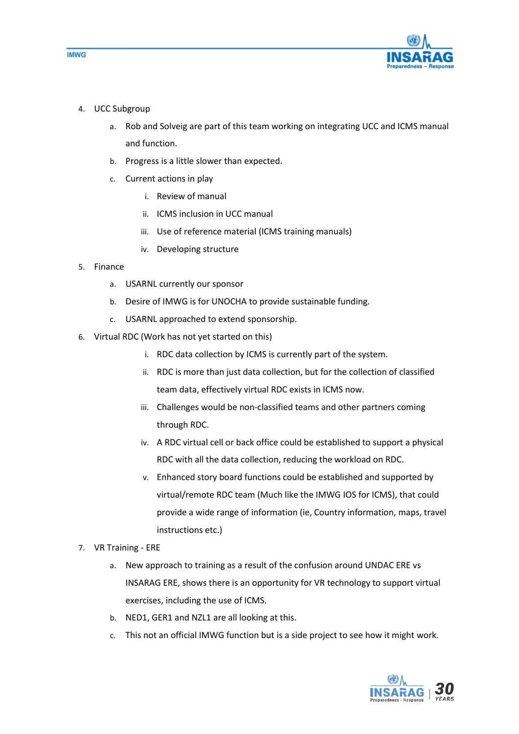

- 4. UCC Subgroup
	- a. Rob and Solveig are part of this team working on integrating UCC and ICMS manual and function.
	- b. Progress is a little slower than expected.
	- c. Current actions in play
		- i. Review of manual
		- ii. ICMS inclusion in UCC manual
		- iii. Use of reference material (ICMS training manuals)
		- iv. Developing structure
- 5. Finance
	- a. USARNL currently our sponsor
	- b. Desire of IMWG is for UNOCHA to provide sustainable funding.
	- c. USARNL approached to extend sponsorship.
- 6. Virtual RDC (Work has not yet started on this)
	- i. RDC data collection by ICMS is currently part of the system.
	- ii. RDC is more than just data collection, but for the collection of classified team data, effectively virtual RDC exists in ICMS now.
	- iii. Challenges would be non-classified teams and other partners coming through RDC.
	- iv. A RDC virtual cell or back office could be established to support a physical RDC with all the data collection, reducing the workload on RDC.
	- v. Enhanced story board functions could be established and supported by virtual/remote RDC team (Much like the IMWG IOS for ICMS), that could provide a wide range of information (ie, Country information, maps, travel instructions etc.)
- 7. VR Training ERE
	- a. New approach to training as a result of the confusion around UNDAC ERE vs INSARAG ERE, shows there is an opportunity for VR technology to support virtual exercises, including the use of ICMS.
	- b. NED1, GER1 and NZL1 are all looking at this.
	- c. This not an official IMWG function but is a side project to see how it might work.